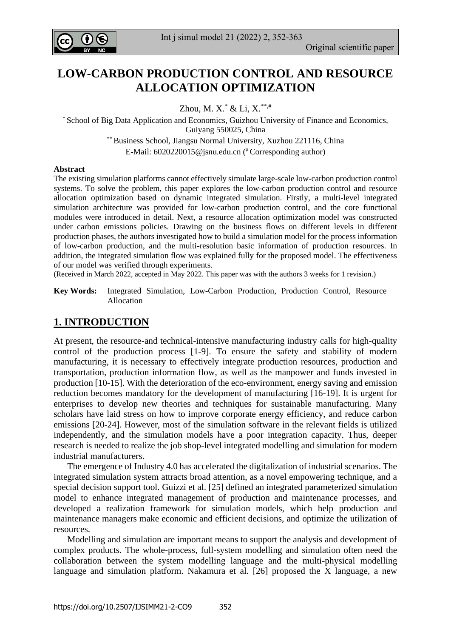

# **LOW-CARBON PRODUCTION CONTROL AND RESOURCE ALLOCATION OPTIMIZATION**

Zhou, M. X. $*$  & Li, X. $**$ ,#

\* School of Big Data Application and Economics, Guizhou University of Finance and Economics, Guiyang 550025, China

\*\* Business School, Jiangsu Normal University, Xuzhou 221116, China E-Mail: [6020220015@jsnu.edu.cn](mailto:6020220015@jsnu.edu.cn) ( #Corresponding author)

#### **Abstract**

The existing simulation platforms cannot effectively simulate large-scale low-carbon production control systems. To solve the problem, this paper explores the low-carbon production control and resource allocation optimization based on dynamic integrated simulation. Firstly, a multi-level integrated simulation architecture was provided for low-carbon production control, and the core functional modules were introduced in detail. Next, a resource allocation optimization model was constructed under carbon emissions policies. Drawing on the business flows on different levels in different production phases, the authors investigated how to build a simulation model for the process information of low-carbon production, and the multi-resolution basic information of production resources. In addition, the integrated simulation flow was explained fully for the proposed model. The effectiveness of our model was verified through experiments.

(Received in March 2022, accepted in May 2022. This paper was with the authors 3 weeks for 1 revision.)

**Key Words:** Integrated Simulation, Low-Carbon Production, Production Control, Resource Allocation

### **1. INTRODUCTION**

At present, the resource-and technical-intensive manufacturing industry calls for high-quality control of the production process [1-9]. To ensure the safety and stability of modern manufacturing, it is necessary to effectively integrate production resources, production and transportation, production information flow, as well as the manpower and funds invested in production [10-15]. With the deterioration of the eco-environment, energy saving and emission reduction becomes mandatory for the development of manufacturing [16-19]. It is urgent for enterprises to develop new theories and techniques for sustainable manufacturing. Many scholars have laid stress on how to improve corporate energy efficiency, and reduce carbon emissions [20-24]. However, most of the simulation software in the relevant fields is utilized independently, and the simulation models have a poor integration capacity. Thus, deeper research is needed to realize the job shop-level integrated modelling and simulation for modern industrial manufacturers.

 The emergence of Industry 4.0 has accelerated the digitalization of industrial scenarios. The integrated simulation system attracts broad attention, as a novel empowering technique, and a special decision support tool. Guizzi et al. [25] defined an integrated parameterized simulation model to enhance integrated management of production and maintenance processes, and developed a realization framework for simulation models, which help production and maintenance managers make economic and efficient decisions, and optimize the utilization of resources.

 Modelling and simulation are important means to support the analysis and development of complex products. The whole-process, full-system modelling and simulation often need the collaboration between the system modelling language and the multi-physical modelling language and simulation platform. Nakamura et al. [26] proposed the X language, a new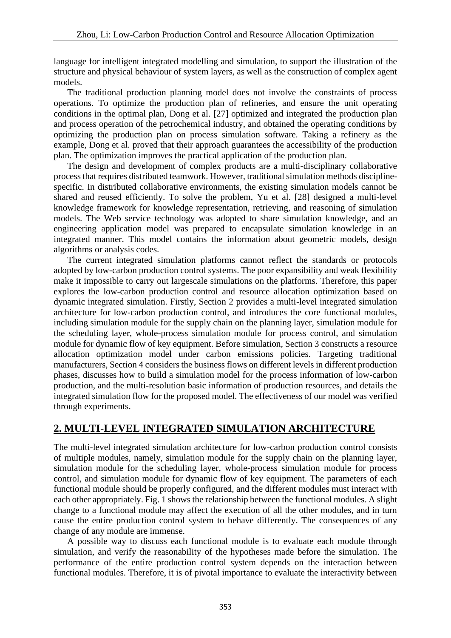language for intelligent integrated modelling and simulation, to support the illustration of the structure and physical behaviour of system layers, as well as the construction of complex agent models.

 The traditional production planning model does not involve the constraints of process operations. To optimize the production plan of refineries, and ensure the unit operating conditions in the optimal plan, Dong et al. [27] optimized and integrated the production plan and process operation of the petrochemical industry, and obtained the operating conditions by optimizing the production plan on process simulation software. Taking a refinery as the example, Dong et al. proved that their approach guarantees the accessibility of the production plan. The optimization improves the practical application of the production plan.

 The design and development of complex products are a multi-disciplinary collaborative process that requires distributed teamwork. However, traditional simulation methods disciplinespecific. In distributed collaborative environments, the existing simulation models cannot be shared and reused efficiently. To solve the problem, Yu et al. [28] designed a multi-level knowledge framework for knowledge representation, retrieving, and reasoning of simulation models. The Web service technology was adopted to share simulation knowledge, and an engineering application model was prepared to encapsulate simulation knowledge in an integrated manner. This model contains the information about geometric models, design algorithms or analysis codes.

 The current integrated simulation platforms cannot reflect the standards or protocols adopted by low-carbon production control systems. The poor expansibility and weak flexibility make it impossible to carry out largescale simulations on the platforms. Therefore, this paper explores the low-carbon production control and resource allocation optimization based on dynamic integrated simulation. Firstly, Section 2 provides a multi-level integrated simulation architecture for low-carbon production control, and introduces the core functional modules, including simulation module for the supply chain on the planning layer, simulation module for the scheduling layer, whole-process simulation module for process control, and simulation module for dynamic flow of key equipment. Before simulation, Section 3 constructs a resource allocation optimization model under carbon emissions policies. Targeting traditional manufacturers, Section 4 considers the business flows on different levels in different production phases, discusses how to build a simulation model for the process information of low-carbon production, and the multi-resolution basic information of production resources, and details the integrated simulation flow for the proposed model. The effectiveness of our model was verified through experiments.

## **2. MULTI-LEVEL INTEGRATED SIMULATION ARCHITECTURE**

The multi-level integrated simulation architecture for low-carbon production control consists of multiple modules, namely, simulation module for the supply chain on the planning layer, simulation module for the scheduling layer, whole-process simulation module for process control, and simulation module for dynamic flow of key equipment. The parameters of each functional module should be properly configured, and the different modules must interact with each other appropriately. Fig. 1 shows the relationship between the functional modules. A slight change to a functional module may affect the execution of all the other modules, and in turn cause the entire production control system to behave differently. The consequences of any change of any module are immense.

 A possible way to discuss each functional module is to evaluate each module through simulation, and verify the reasonability of the hypotheses made before the simulation. The performance of the entire production control system depends on the interaction between functional modules. Therefore, it is of pivotal importance to evaluate the interactivity between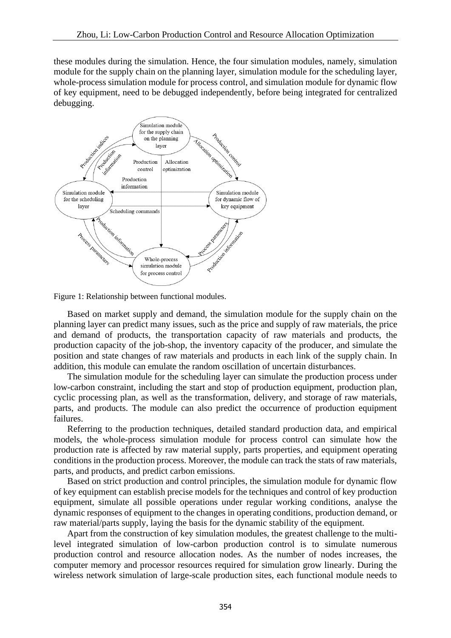these modules during the simulation. Hence, the four simulation modules, namely, simulation module for the supply chain on the planning layer, simulation module for the scheduling layer, whole-process simulation module for process control, and simulation module for dynamic flow of key equipment, need to be debugged independently, before being integrated for centralized debugging.



Figure 1: Relationship between functional modules.

 Based on market supply and demand, the simulation module for the supply chain on the planning layer can predict many issues, such as the price and supply of raw materials, the price and demand of products, the transportation capacity of raw materials and products, the production capacity of the job-shop, the inventory capacity of the producer, and simulate the position and state changes of raw materials and products in each link of the supply chain. In addition, this module can emulate the random oscillation of uncertain disturbances.

 The simulation module for the scheduling layer can simulate the production process under low-carbon constraint, including the start and stop of production equipment, production plan, cyclic processing plan, as well as the transformation, delivery, and storage of raw materials, parts, and products. The module can also predict the occurrence of production equipment failures.

 Referring to the production techniques, detailed standard production data, and empirical models, the whole-process simulation module for process control can simulate how the production rate is affected by raw material supply, parts properties, and equipment operating conditions in the production process. Moreover, the module can track the stats of raw materials, parts, and products, and predict carbon emissions.

 Based on strict production and control principles, the simulation module for dynamic flow of key equipment can establish precise models for the techniques and control of key production equipment, simulate all possible operations under regular working conditions, analyse the dynamic responses of equipment to the changes in operating conditions, production demand, or raw material/parts supply, laying the basis for the dynamic stability of the equipment.

 Apart from the construction of key simulation modules, the greatest challenge to the multilevel integrated simulation of low-carbon production control is to simulate numerous production control and resource allocation nodes. As the number of nodes increases, the computer memory and processor resources required for simulation grow linearly. During the wireless network simulation of large-scale production sites, each functional module needs to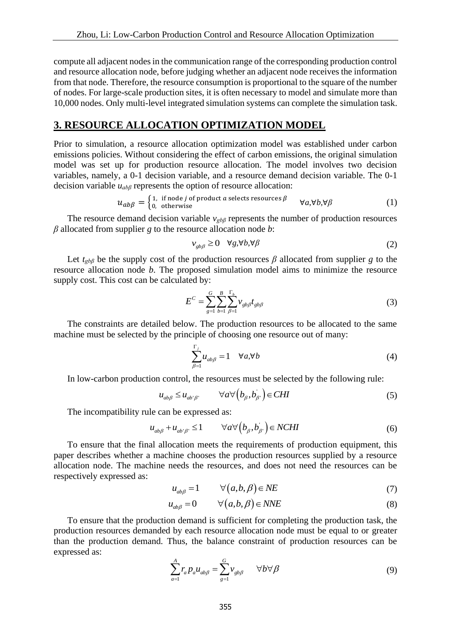compute all adjacent nodes in the communication range of the corresponding production control and resource allocation node, before judging whether an adjacent node receives the information from that node. Therefore, the resource consumption is proportional to the square of the number of nodes. For large-scale production sites, it is often necessary to model and simulate more than 10,000 nodes. Only multi-level integrated simulation systems can complete the simulation task.

#### **3. RESOURCE ALLOCATION OPTIMIZATION MODEL**

Prior to simulation, a resource allocation optimization model was established under carbon emissions policies. Without considering the effect of carbon emissions, the original simulation model was set up for production resource allocation. The model involves two decision variables, namely, a 0-1 decision variable, and a resource demand decision variable. The 0-1 decision variable *uabβ* represents the option of resource allocation:

$$
u_{ab\beta} = \begin{cases} 1, & \text{if node } j \text{ of product } a \text{ selects resources } \beta \\ 0, & \text{otherwise} \end{cases} \quad \forall a, \forall b, \forall \beta
$$
 (1)

 The resource demand decision variable *vgbβ* represents the number of production resources *β* allocated from supplier *g* to the resource allocation node *b*:

$$
v_{gb\beta} \ge 0 \quad \forall g, \forall b, \forall \beta \tag{2}
$$

Let  $t_{gb\beta}$  be the supply cost of the production resources  $\beta$  allocated from supplier g to the resource allocation node *b*. The proposed simulation model aims to minimize the resource supply cost. This cost can be calculated by:

$$
E^{C} = \sum_{g=1}^{G} \sum_{b=1}^{B} \sum_{\beta=1}^{\Gamma_{b}} v_{gb\beta} t_{gb\beta}
$$
(3)

 The constraints are detailed below. The production resources to be allocated to the same machine must be selected by the principle of choosing one resource out of many:

$$
\sum_{\beta=1}^{\Gamma_j} u_{ab\beta} = 1 \quad \forall a, \forall b \tag{4}
$$

In low-carbon production control, the resources must be selected by the following rule:

$$
u_{ab\beta} \le u_{ab'\beta'} \qquad \forall a \forall \left(b_{\beta}, b_{\beta'}\right) \in CHI \tag{5}
$$

The incompatibility rule can be expressed as:

$$
u_{ab\beta} + u_{ab'\beta'} \le 1 \qquad \forall a \forall \left(b_{\beta}, b_{\beta'}\right) \in NCHI \tag{6}
$$

 To ensure that the final allocation meets the requirements of production equipment, this paper describes whether a machine chooses the production resources supplied by a resource allocation node. The machine needs the resources, and does not need the resources can be respectively expressed as:

$$
u_{ab\beta} = 1 \qquad \forall (a, b, \beta) \in NE \tag{7}
$$

$$
u_{ab\beta} = 0 \qquad \forall (a, b, \beta) \in NNE \tag{8}
$$

 To ensure that the production demand is sufficient for completing the production task, the production resources demanded by each resource allocation node must be equal to or greater than the production demand. Thus, the balance constraint of production resources can be expressed as:

$$
\sum_{a=1}^{A} r_a p_a u_{ab\beta} = \sum_{g=1}^{G} v_{gb\beta} \qquad \forall b \forall \beta
$$
\n(9)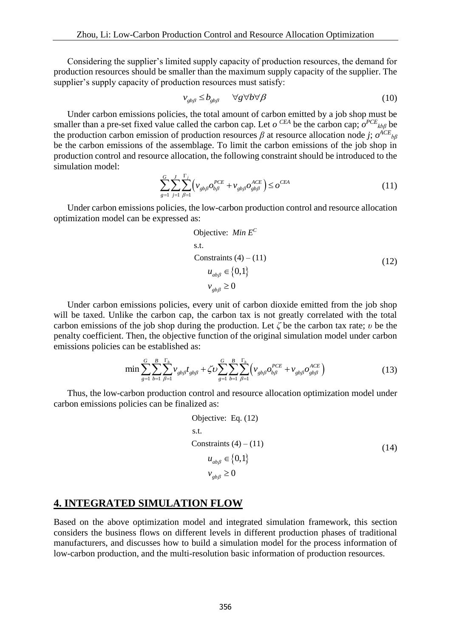Considering the supplier's limited supply capacity of production resources, the demand for production resources should be smaller than the maximum supply capacity of the supplier. The supplier's supply capacity of production resources must satisfy:

$$
v_{gbg} \le b_{gbg} \qquad \forall g \forall b \forall \beta \tag{10}
$$

 Under carbon emissions policies, the total amount of carbon emitted by a job shop must be smaller than a pre-set fixed value called the carbon cap. Let  $o^{CEA}$  be the carbon cap;  $o^{PCE}$ <sub>kbβ</sub> be the production carbon emission of production resources  $\beta$  at resource allocation node *j*;  $o^{ACE}$ <sub>*b*β</sub> be the carbon emissions of the assemblage. To limit the carbon emissions of the job shop in production control and resource allocation, the following constraint should be introduced to the simulation model:

$$
\sum_{g=1}^{G} \sum_{j=1}^{J} \sum_{\beta=1}^{\Gamma_j} \left( v_{gb\beta} o_{b\beta}^{PCE} + v_{gb\beta} o_{gb\beta}^{ACE} \right) \le o^{CEA} \tag{11}
$$

 Under carbon emissions policies, the low-carbon production control and resource allocation optimization model can be expressed as:

Objective: Min 
$$
E^C
$$

\ns.t.

\nConstraints (4) – (11)

\n
$$
u_{ab\beta} \in \{0,1\}
$$
\n
$$
v_{gb\beta} \ge 0
$$
\n(12)

 Under carbon emissions policies, every unit of carbon dioxide emitted from the job shop will be taxed. Unlike the carbon cap, the carbon tax is not greatly correlated with the total carbon emissions of the job shop during the production. Let *ζ* be the carbon tax rate; *υ* be the penalty coefficient. Then, the objective function of the original simulation model under carbon emissions policies can be established as:

$$
\min \sum_{g=1}^{G} \sum_{b=1}^{B} \sum_{\beta=1}^{\Gamma_b} \nu_{gb\beta} t_{gb\beta} + \zeta \nu \sum_{g=1}^{G} \sum_{b=1}^{B} \sum_{\beta=1}^{\Gamma_b} \left( \nu_{gb\beta} o_{b\beta}^{PCE} + \nu_{gb\beta} o_{gb\beta}^{ACE} \right)
$$
(13)

 Thus, the low-carbon production control and resource allocation optimization model under carbon emissions policies can be finalized as:

Objective: Eq. (12)

\ns.t.

\nConstraints (4) – (11)

\n
$$
u_{ab\beta} \in \{0, 1\}
$$
\n
$$
v_{gb\beta} \ge 0
$$
\n(14)

#### **4. INTEGRATED SIMULATION FLOW**

Based on the above optimization model and integrated simulation framework, this section considers the business flows on different levels in different production phases of traditional manufacturers, and discusses how to build a simulation model for the process information of low-carbon production, and the multi-resolution basic information of production resources.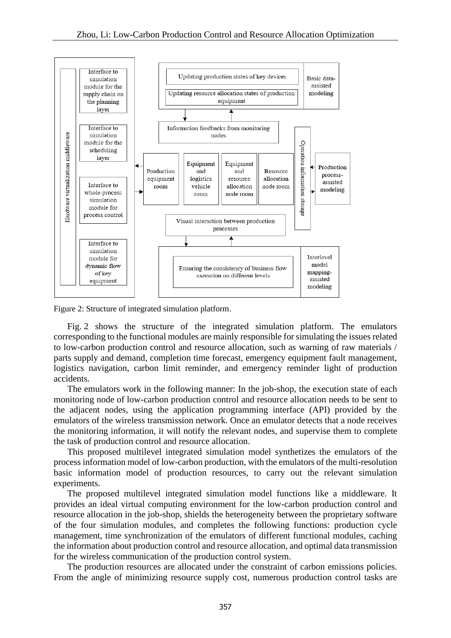

Figure 2: Structure of integrated simulation platform.

 Fig. 2 shows the structure of the integrated simulation platform. The emulators corresponding to the functional modules are mainly responsible for simulating the issues related to low-carbon production control and resource allocation, such as warning of raw materials / parts supply and demand, completion time forecast, emergency equipment fault management, logistics navigation, carbon limit reminder, and emergency reminder light of production accidents.

 The emulators work in the following manner: In the job-shop, the execution state of each monitoring node of low-carbon production control and resource allocation needs to be sent to the adjacent nodes, using the application programming interface (API) provided by the emulators of the wireless transmission network. Once an emulator detects that a node receives the monitoring information, it will notify the relevant nodes, and supervise them to complete the task of production control and resource allocation.

 This proposed multilevel integrated simulation model synthetizes the emulators of the process information model of low-carbon production, with the emulators of the multi-resolution basic information model of production resources, to carry out the relevant simulation experiments.

 The proposed multilevel integrated simulation model functions like a middleware. It provides an ideal virtual computing environment for the low-carbon production control and resource allocation in the job-shop, shields the heterogeneity between the proprietary software of the four simulation modules, and completes the following functions: production cycle management, time synchronization of the emulators of different functional modules, caching the information about production control and resource allocation, and optimal data transmission for the wireless communication of the production control system.

 The production resources are allocated under the constraint of carbon emissions policies. From the angle of minimizing resource supply cost, numerous production control tasks are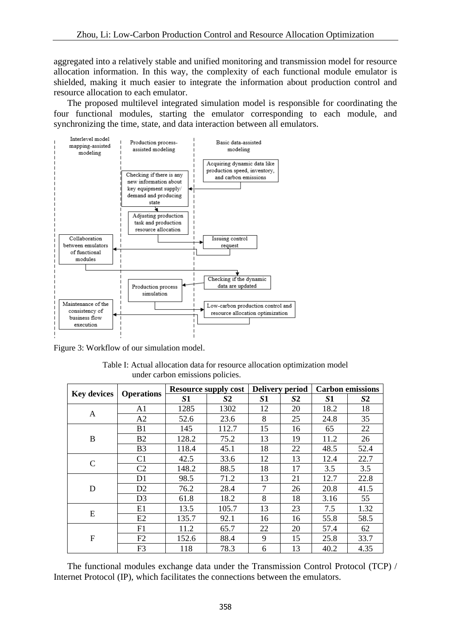aggregated into a relatively stable and unified monitoring and transmission model for resource allocation information. In this way, the complexity of each functional module emulator is shielded, making it much easier to integrate the information about production control and resource allocation to each emulator.

 The proposed multilevel integrated simulation model is responsible for coordinating the four functional modules, starting the emulator corresponding to each module, and synchronizing the time, state, and data interaction between all emulators.



Figure 3: Workflow of our simulation model.

| Table I: Actual allocation data for resource allocation optimization model |
|----------------------------------------------------------------------------|
| under carbon emissions policies.                                           |

| <b>Key devices</b> | <b>Operations</b> | <b>Resource supply cost</b> |                | <b>Delivery period</b> |                | <b>Carbon emissions</b> |                |
|--------------------|-------------------|-----------------------------|----------------|------------------------|----------------|-------------------------|----------------|
|                    |                   | S <sub>1</sub>              | S <sub>2</sub> | S1                     | S <sub>2</sub> | S1                      | S <sub>2</sub> |
| A                  | A1                | 1285                        | 1302           | 12                     | 20             | 18.2                    | 18             |
|                    | A2                | 52.6                        | 23.6           | 8                      | 25             | 24.8                    | 35             |
| B                  | B1                | 145                         | 112.7          | 15                     | 16             | 65                      | 22             |
|                    | B <sub>2</sub>    | 128.2                       | 75.2           | 13                     | 19             | 11.2                    | 26             |
|                    | B <sub>3</sub>    | 118.4                       | 45.1           | 18                     | 22             | 48.5                    | 52.4           |
| $\mathbf C$        | C <sub>1</sub>    | 42.5                        | 33.6           | 12                     | 13             | 12.4                    | 22.7           |
|                    | C <sub>2</sub>    | 148.2                       | 88.5           | 18                     | 17             | 3.5                     | 3.5            |
| D                  | D1                | 98.5                        | 71.2           | 13                     | 21             | 12.7                    | 22.8           |
|                    | D2                | 76.2                        | 28.4           | $\tau$                 | 26             | 20.8                    | 41.5           |
|                    | D <sub>3</sub>    | 61.8                        | 18.2           | 8                      | 18             | 3.16                    | 55             |
| E                  | E1                | 13.5                        | 105.7          | 13                     | 23             | 7.5                     | 1.32           |
|                    | E2                | 135.7                       | 92.1           | 16                     | 16             | 55.8                    | 58.5           |
| $\mathbf F$        | F1                | 11.2                        | 65.7           | 22                     | 20             | 57.4                    | 62             |
|                    | F2                | 152.6                       | 88.4           | 9                      | 15             | 25.8                    | 33.7           |
|                    | F <sub>3</sub>    | 118                         | 78.3           | 6                      | 13             | 40.2                    | 4.35           |

 The functional modules exchange data under the Transmission Control Protocol (TCP) / Internet Protocol (IP), which facilitates the connections between the emulators.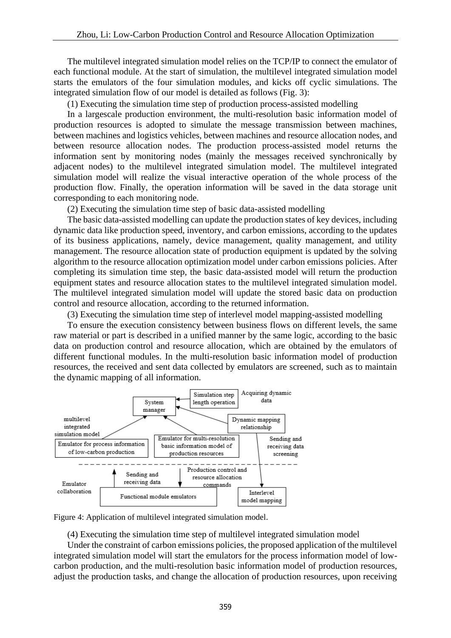The multilevel integrated simulation model relies on the TCP/IP to connect the emulator of each functional module. At the start of simulation, the multilevel integrated simulation model starts the emulators of the four simulation modules, and kicks off cyclic simulations. The integrated simulation flow of our model is detailed as follows (Fig. 3):

(1) Executing the simulation time step of production process-assisted modelling

 In a largescale production environment, the multi-resolution basic information model of production resources is adopted to simulate the message transmission between machines, between machines and logistics vehicles, between machines and resource allocation nodes, and between resource allocation nodes. The production process-assisted model returns the information sent by monitoring nodes (mainly the messages received synchronically by adjacent nodes) to the multilevel integrated simulation model. The multilevel integrated simulation model will realize the visual interactive operation of the whole process of the production flow. Finally, the operation information will be saved in the data storage unit corresponding to each monitoring node.

(2) Executing the simulation time step of basic data-assisted modelling

 The basic data-assisted modelling can update the production states of key devices, including dynamic data like production speed, inventory, and carbon emissions, according to the updates of its business applications, namely, device management, quality management, and utility management. The resource allocation state of production equipment is updated by the solving algorithm to the resource allocation optimization model under carbon emissions policies. After completing its simulation time step, the basic data-assisted model will return the production equipment states and resource allocation states to the multilevel integrated simulation model. The multilevel integrated simulation model will update the stored basic data on production control and resource allocation, according to the returned information.

(3) Executing the simulation time step of interlevel model mapping-assisted modelling

 To ensure the execution consistency between business flows on different levels, the same raw material or part is described in a unified manner by the same logic, according to the basic data on production control and resource allocation, which are obtained by the emulators of different functional modules. In the multi-resolution basic information model of production resources, the received and sent data collected by emulators are screened, such as to maintain the dynamic mapping of all information.



Figure 4: Application of multilevel integrated simulation model.

(4) Executing the simulation time step of multilevel integrated simulation model

 Under the constraint of carbon emissions policies, the proposed application of the multilevel integrated simulation model will start the emulators for the process information model of lowcarbon production, and the multi-resolution basic information model of production resources, adjust the production tasks, and change the allocation of production resources, upon receiving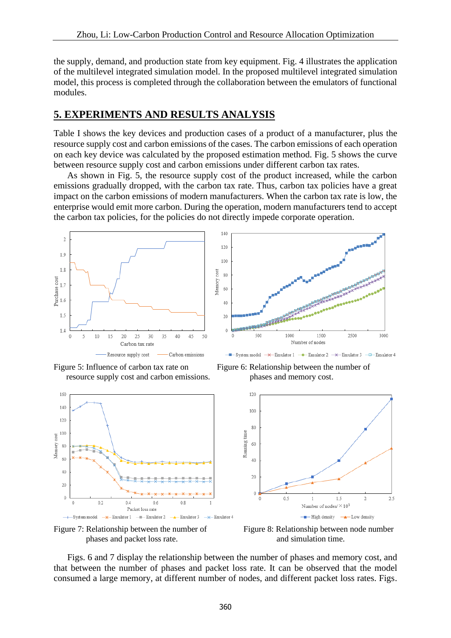the supply, demand, and production state from key equipment. Fig. 4 illustrates the application of the multilevel integrated simulation model. In the proposed multilevel integrated simulation model, this process is completed through the collaboration between the emulators of functional modules.

### **5. EXPERIMENTS AND RESULTS ANALYSIS**

Table I shows the key devices and production cases of a product of a manufacturer, plus the resource supply cost and carbon emissions of the cases. The carbon emissions of each operation on each key device was calculated by the proposed estimation method. Fig. 5 shows the curve between resource supply cost and carbon emissions under different carbon tax rates.

 As shown in Fig. 5, the resource supply cost of the product increased, while the carbon emissions gradually dropped, with the carbon tax rate. Thus, carbon tax policies have a great impact on the carbon emissions of modern manufacturers. When the carbon tax rate is low, the enterprise would emit more carbon. During the operation, modern manufacturers tend to accept the carbon tax policies, for the policies do not directly impede corporate operation.



Figure 5: Influence of carbon tax rate on Figure 6: Relationship between the number of resource supply cost and carbon emissions. phases and memory cost.







 Figs. 6 and 7 display the relationship between the number of phases and memory cost, and that between the number of phases and packet loss rate. It can be observed that the model consumed a large memory, at different number of nodes, and different packet loss rates. Figs.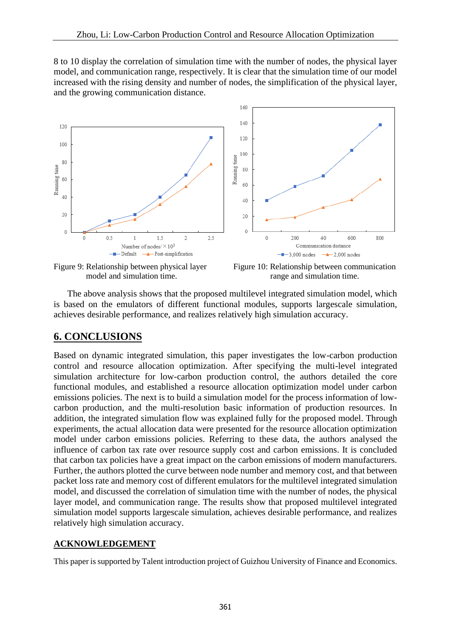8 to 10 display the correlation of simulation time with the number of nodes, the physical layer model, and communication range, respectively. It is clear that the simulation time of our model increased with the rising density and number of nodes, the simplification of the physical layer, and the growing communication distance.



Figure 9: Relationship between physical layer Figure 10: Relationship between communication model and simulation time. The range and simulation time.

 The above analysis shows that the proposed multilevel integrated simulation model, which is based on the emulators of different functional modules, supports largescale simulation, achieves desirable performance, and realizes relatively high simulation accuracy.

## **6. CONCLUSIONS**

Based on dynamic integrated simulation, this paper investigates the low-carbon production control and resource allocation optimization. After specifying the multi-level integrated simulation architecture for low-carbon production control, the authors detailed the core functional modules, and established a resource allocation optimization model under carbon emissions policies. The next is to build a simulation model for the process information of lowcarbon production, and the multi-resolution basic information of production resources. In addition, the integrated simulation flow was explained fully for the proposed model. Through experiments, the actual allocation data were presented for the resource allocation optimization model under carbon emissions policies. Referring to these data, the authors analysed the influence of carbon tax rate over resource supply cost and carbon emissions. It is concluded that carbon tax policies have a great impact on the carbon emissions of modern manufacturers. Further, the authors plotted the curve between node number and memory cost, and that between packet loss rate and memory cost of different emulators for the multilevel integrated simulation model, and discussed the correlation of simulation time with the number of nodes, the physical layer model, and communication range. The results show that proposed multilevel integrated simulation model supports largescale simulation, achieves desirable performance, and realizes relatively high simulation accuracy.

#### **ACKNOWLEDGEMENT**

This paper is supported by Talent introduction project of Guizhou University of Finance and Economics.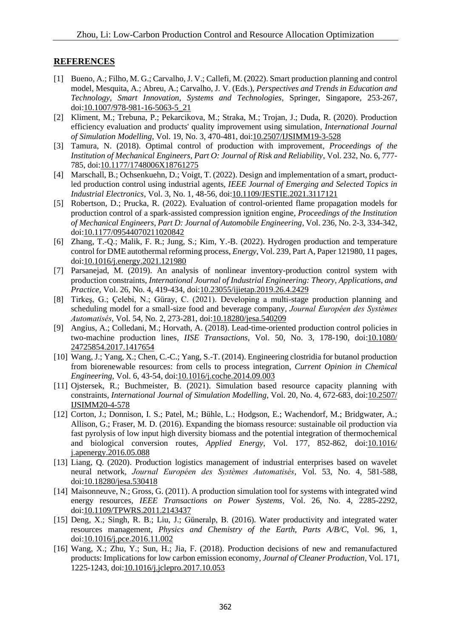#### **REFERENCES**

- [1] Bueno, A.; Filho, M. G.; Carvalho, J. V.; Callefi, M. (2022). Smart production planning and control model, Mesquita, A.; Abreu, A.; Carvalho, J. V. (Eds.), *Perspectives and Trends in Education and Technology, Smart Innovation, Systems and Technologies*, Springer, Singapore, 253-267, doi[:10.1007/978-981-16-5063-5\\_21](https://doi.org/10.1007/978-981-16-5063-5_21)
- [2] Kliment, M.; Trebuna, P.; Pekarcikova, M.; Straka, M.; Trojan, J.; Duda, R. (2020). Production efficiency evaluation and products' quality improvement using simulation, *International Journal of Simulation Modelling*, Vol. 19, No. 3, 470-481, doi[:10.2507/IJSIMM19-3-528](https://doi.org/10.2507/IJSIMM19-3-528)
- [3] Tamura, N. (2018). Optimal control of production with improvement, *Proceedings of the Institution of Mechanical Engineers, Part O: Journal of Risk and Reliability*, Vol. 232, No. 6, 777- 785, doi[:10.1177/1748006X18761275](https://doi.org/10.1177/1748006X18761275)
- [4] Marschall, B.; Ochsenkuehn, D.; Voigt, T. (2022). Design and implementation of a smart, productled production control using industrial agents, *IEEE Journal of Emerging and Selected Topics in Industrial Electronics*, Vol. 3, No. 1, 48-56, doi[:10.1109/JESTIE.2021.3117121](https://doi.org/10.1109/JESTIE.2021.3117121)
- [5] Robertson, D.; Prucka, R. (2022). Evaluation of control-oriented flame propagation models for production control of a spark-assisted compression ignition engine, *Proceedings of the Institution of Mechanical Engineers, Part D: Journal of Automobile Engineering*, Vol. 236, No. 2-3, 334-342, doi[:10.1177/09544070211020842](https://doi.org/10.1177/09544070211020842)
- [6] Zhang, T.-Q.; Malik, F. R.; Jung, S.; Kim, Y.-B. (2022). Hydrogen production and temperature control for DME autothermal reforming process, *Energy*, Vol. 239, Part A, Paper 121980, 11 pages, doi[:10.1016/j.energy.2021.121980](https://doi.org/10.1016/j.energy.2021.121980)
- [7] Parsanejad, M. (2019). An analysis of nonlinear inventory-production control system with production constraints, *International Journal of Industrial Engineering: Theory, Applications, and Practice*, Vol. 26, No. 4, 419-434, doi[:10.23055/ijietap.2019.26.4.2429](https://doi.org/10.23055/ijietap.2019.26.4.2429)
- [8] Tirkeş, G.; Çelebi, N.; Güray, C. (2021). Developing a multi-stage production planning and scheduling model for a small-size food and beverage company, *Journal Européen des Systèmes Automatisés*, Vol. 54, No. 2, 273-281, doi[:10.18280/jesa.540209](https://doi.org/10.18280/jesa.540209)
- [9] Angius, A.; Colledani, M.; Horvath, A. (2018). Lead-time-oriented production control policies in two-machine production lines, *IISE Transactions*, Vol. 50, No. 3, 178-190, doi[:10.1080/](https://doi.org/10.1080/24725854.2017.1417654) [24725854.2017.1417654](https://doi.org/10.1080/24725854.2017.1417654)
- [10] Wang, J.; Yang, X.; Chen, C.-C.; Yang, S.-T. (2014). Engineering clostridia for butanol production from biorenewable resources: from cells to process integration, *Current Opinion in Chemical Engineering*, Vol. 6, 43-54, doi[:10.1016/j.coche.2014.09.003](https://doi.org/10.1016/j.coche.2014.09.003)
- [11] Ojstersek, R.; Buchmeister, B. (2021). Simulation based resource capacity planning with constraints, *International Journal of Simulation Modelling*, Vol. 20, No. 4, 672-683, doi[:10.2507/](https://doi.org/10.2507/IJSIMM20-4-578) [IJSIMM20-4-578](https://doi.org/10.2507/IJSIMM20-4-578)
- [12] Corton, J.; Donnison, I. S.; Patel, M.; Bühle, L.; Hodgson, E.; Wachendorf, M.; Bridgwater, A.; Allison, G.; Fraser, M. D. (2016). Expanding the biomass resource: sustainable oil production via fast pyrolysis of low input high diversity biomass and the potential integration of thermochemical and biological conversion routes, *Applied Energy*, Vol. 177, 852-862, doi[:10.1016/](https://doi.org/10.1016/j.apenergy.2016.05.088) [j.apenergy.2016.05.088](https://doi.org/10.1016/j.apenergy.2016.05.088)
- [13] Liang, Q. (2020). Production logistics management of industrial enterprises based on wavelet neural network, *Journal Européen des Systèmes Automatisés*, Vol. 53, No. 4, 581-588, doi[:10.18280/jesa.530418](https://doi.org/10.18280/jesa.530418)
- [14] Maisonneuve, N.; Gross, G. (2011). A production simulation tool for systems with integrated wind energy resources, *IEEE Transactions on Power Systems*, Vol. 26, No. 4, 2285-2292, doi[:10.1109/TPWRS.2011.2143437](https://doi.org/10.1109/TPWRS.2011.2143437)
- [15] Deng, X.; Singh, R. B.; Liu, J.; Güneralp, B. (2016). Water productivity and integrated water resources management, *Physics and Chemistry of the Earth, Parts A/B/C*, Vol. 96, 1, doi[:10.1016/j.pce.2016.11.002](https://doi.org/10.1016/j.pce.2016.11.002)
- [16] Wang, X.; Zhu, Y.; Sun, H.; Jia, F. (2018). Production decisions of new and remanufactured products: Implications for low carbon emission economy, *Journal of Cleaner Production*, Vol. 171, 1225-1243, doi[:10.1016/j.jclepro.2017.10.053](https://doi.org/10.1016/j.jclepro.2017.10.053)